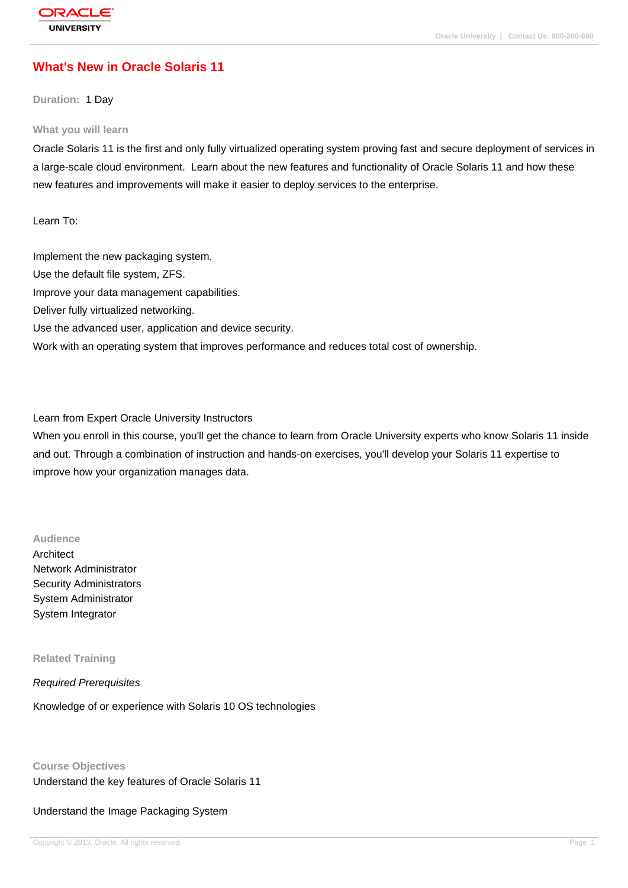# **[What's New in](http://education.oracle.com/pls/web_prod-plq-dad/db_pages.getpage?page_id=3) Oracle Solaris 11**

### **Duration:** 1 Day

#### **What you will learn**

Oracle Solaris 11 is the first and only fully virtualized operating system proving fast and secure deployment of services in a large-scale cloud environment. Learn about the new features and functionality of Oracle Solaris 11 and how these new features and improvements will make it easier to deploy services to the enterprise.

Learn To:

Implement the new packaging system. Use the default file system, ZFS. Improve your data management capabilities. Deliver fully virtualized networking. Use the advanced user, application and device security. Work with an operating system that improves performance and reduces total cost of ownership.

Learn from Expert Oracle University Instructors

When you enroll in this course, you'll get the chance to learn from Oracle University experts who know Solaris 11 inside and out. Through a combination of instruction and hands-on exercises, you'll develop your Solaris 11 expertise to improve how your organization manages data.

#### **Audience**

Architect Network Administrator Security Administrators System Administrator System Integrator

**Related Training**

Required Prerequisites

Knowledge of or experience with Solaris 10 OS technologies

### **Course Objectives**

Understand the key features of Oracle Solaris 11

Understand the Image Packaging System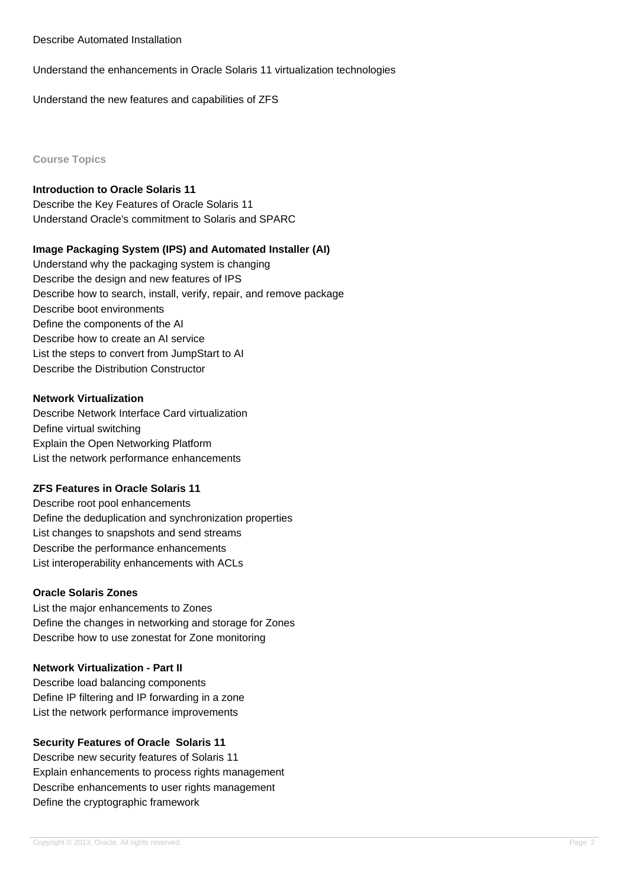#### Describe Automated Installation

Understand the enhancements in Oracle Solaris 11 virtualization technologies

Understand the new features and capabilities of ZFS

**Course Topics**

## **Introduction to Oracle Solaris 11**

Describe the Key Features of Oracle Solaris 11 Understand Oracle's commitment to Solaris and SPARC

## **Image Packaging System (IPS) and Automated Installer (AI)**

Understand why the packaging system is changing Describe the design and new features of IPS Describe how to search, install, verify, repair, and remove package Describe boot environments Define the components of the AI Describe how to create an AI service List the steps to convert from JumpStart to AI Describe the Distribution Constructor

## **Network Virtualization**

Describe Network Interface Card virtualization Define virtual switching Explain the Open Networking Platform List the network performance enhancements

### **ZFS Features in Oracle Solaris 11**

Describe root pool enhancements Define the deduplication and synchronization properties List changes to snapshots and send streams Describe the performance enhancements List interoperability enhancements with ACLs

### **Oracle Solaris Zones**

List the major enhancements to Zones Define the changes in networking and storage for Zones Describe how to use zonestat for Zone monitoring

### **Network Virtualization - Part II**

Describe load balancing components Define IP filtering and IP forwarding in a zone List the network performance improvements

### **Security Features of Oracle Solaris 11**

Describe new security features of Solaris 11 Explain enhancements to process rights management Describe enhancements to user rights management Define the cryptographic framework